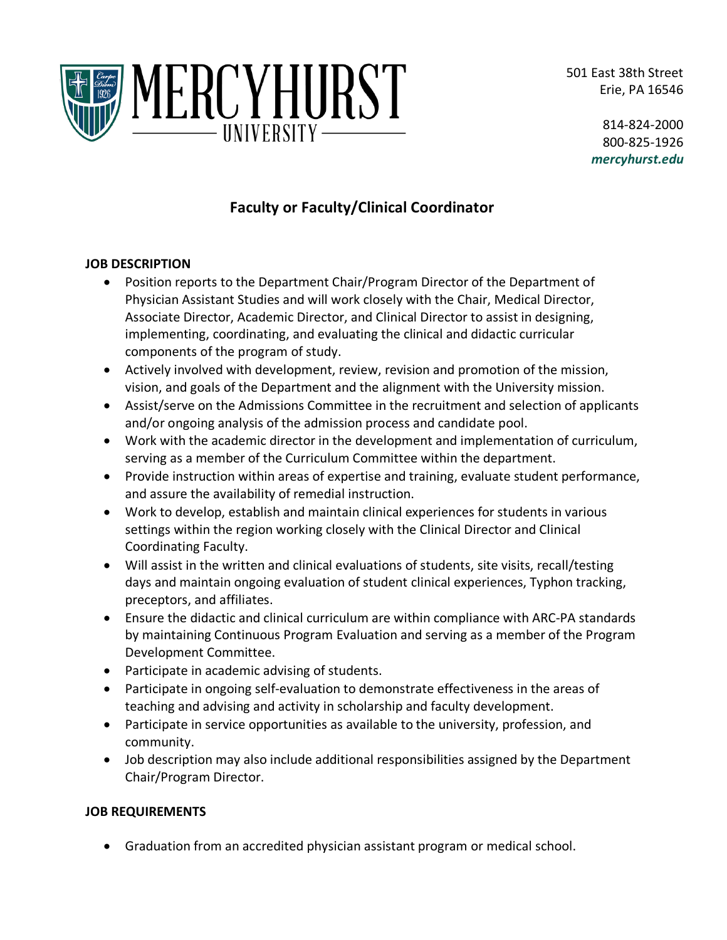501 East 38th Street Erie, PA 16546



814-824-2000 800-825-1926 *mercyhurst.edu*

# **Faculty or Faculty/Clinical Coordinator**

## **JOB DESCRIPTION**

- Position reports to the Department Chair/Program Director of the Department of Physician Assistant Studies and will work closely with the Chair, Medical Director, Associate Director, Academic Director, and Clinical Director to assist in designing, implementing, coordinating, and evaluating the clinical and didactic curricular components of the program of study.
- Actively involved with development, review, revision and promotion of the mission, vision, and goals of the Department and the alignment with the University mission.
- Assist/serve on the Admissions Committee in the recruitment and selection of applicants and/or ongoing analysis of the admission process and candidate pool.
- Work with the academic director in the development and implementation of curriculum, serving as a member of the Curriculum Committee within the department.
- Provide instruction within areas of expertise and training, evaluate student performance, and assure the availability of remedial instruction.
- Work to develop, establish and maintain clinical experiences for students in various settings within the region working closely with the Clinical Director and Clinical Coordinating Faculty.
- Will assist in the written and clinical evaluations of students, site visits, recall/testing days and maintain ongoing evaluation of student clinical experiences, Typhon tracking, preceptors, and affiliates.
- Ensure the didactic and clinical curriculum are within compliance with ARC-PA standards by maintaining Continuous Program Evaluation and serving as a member of the Program Development Committee.
- Participate in academic advising of students.
- Participate in ongoing self-evaluation to demonstrate effectiveness in the areas of teaching and advising and activity in scholarship and faculty development.
- Participate in service opportunities as available to the university, profession, and community.
- Job description may also include additional responsibilities assigned by the Department Chair/Program Director.

### **JOB REQUIREMENTS**

• Graduation from an accredited physician assistant program or medical school.